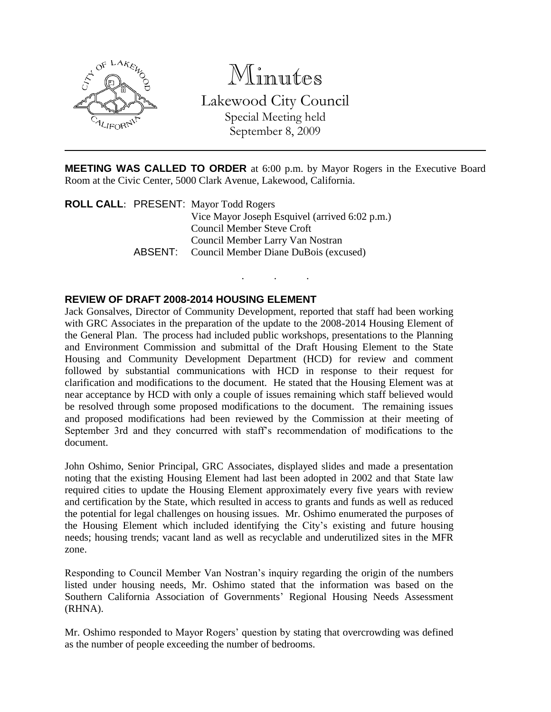

Minutes

Lakewood City Council Special Meeting held

September 8, 2009

**MEETING WAS CALLED TO ORDER** at 6:00 p.m. by Mayor Rogers in the Executive Board Room at the Civic Center, 5000 Clark Avenue, Lakewood, California.

. . .

**ROLL CALL**: PRESENT: Mayor Todd Rogers Vice Mayor Joseph Esquivel (arrived 6:02 p.m.) Council Member Steve Croft Council Member Larry Van Nostran ABSENT: Council Member Diane DuBois (excused)

## **REVIEW OF DRAFT 2008-2014 HOUSING ELEMENT**

Jack Gonsalves, Director of Community Development, reported that staff had been working with GRC Associates in the preparation of the update to the 2008-2014 Housing Element of the General Plan. The process had included public workshops, presentations to the Planning and Environment Commission and submittal of the Draft Housing Element to the State Housing and Community Development Department (HCD) for review and comment followed by substantial communications with HCD in response to their request for clarification and modifications to the document. He stated that the Housing Element was at near acceptance by HCD with only a couple of issues remaining which staff believed would be resolved through some proposed modifications to the document. The remaining issues and proposed modifications had been reviewed by the Commission at their meeting of September 3rd and they concurred with staff's recommendation of modifications to the document.

John Oshimo, Senior Principal, GRC Associates, displayed slides and made a presentation noting that the existing Housing Element had last been adopted in 2002 and that State law required cities to update the Housing Element approximately every five years with review and certification by the State, which resulted in access to grants and funds as well as reduced the potential for legal challenges on housing issues. Mr. Oshimo enumerated the purposes of the Housing Element which included identifying the City's existing and future housing needs; housing trends; vacant land as well as recyclable and underutilized sites in the MFR zone.

Responding to Council Member Van Nostran's inquiry regarding the origin of the numbers listed under housing needs, Mr. Oshimo stated that the information was based on the Southern California Association of Governments' Regional Housing Needs Assessment (RHNA).

Mr. Oshimo responded to Mayor Rogers' question by stating that overcrowding was defined as the number of people exceeding the number of bedrooms.